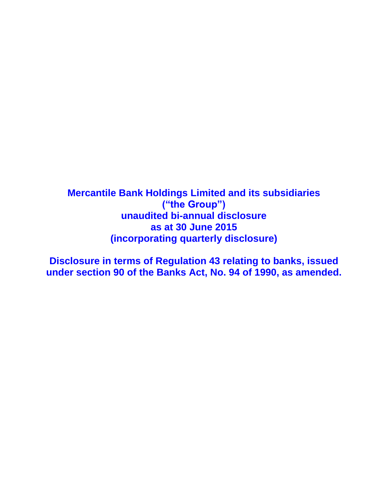**Mercantile Bank Holdings Limited and its subsidiaries ("the Group") unaudited bi-annual disclosure as at 30 June 2015 (incorporating quarterly disclosure)**

**Disclosure in terms of Regulation 43 relating to banks, issued under section 90 of the Banks Act, No. 94 of 1990, as amended.**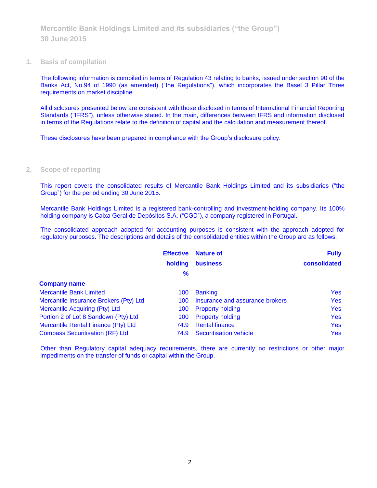#### **1. Basis of compilation**

The following information is compiled in terms of Regulation 43 relating to banks, issued under section 90 of the Banks Act, No.94 of 1990 (as amended) ("the Regulations"), which incorporates the Basel 3 Pillar Three requirements on market discipline.

All disclosures presented below are consistent with those disclosed in terms of International Financial Reporting Standards ("IFRS"), unless otherwise stated. In the main, differences between IFRS and information disclosed in terms of the Regulations relate to the definition of capital and the calculation and measurement thereof.

These disclosures have been prepared in compliance with the Group's disclosure policy.

### **2. Scope of reporting**

This report covers the consolidated results of Mercantile Bank Holdings Limited and its subsidiaries ("the Group") for the period ending 30 June 2015.

Mercantile Bank Holdings Limited is a registered bank-controlling and investment-holding company. Its 100% holding company is Caixa Geral de Depósitos S.A. ("CGD"), a company registered in Portugal.

The consolidated approach adopted for accounting purposes is consistent with the approach adopted for regulatory purposes. The descriptions and details of the consolidated entities within the Group are as follows:

|                                        | <b>Effective</b> | <b>Nature of</b>                | <b>Fully</b> |
|----------------------------------------|------------------|---------------------------------|--------------|
|                                        | holding          | <b>business</b>                 | consolidated |
|                                        | $\frac{9}{6}$    |                                 |              |
| <b>Company name</b>                    |                  |                                 |              |
| <b>Mercantile Bank Limited</b>         | 100              | <b>Banking</b>                  | <b>Yes</b>   |
| Mercantile Insurance Brokers (Pty) Ltd | 100              | Insurance and assurance brokers | <b>Yes</b>   |
| Mercantile Acquiring (Pty) Ltd         | 100              | <b>Property holding</b>         | <b>Yes</b>   |
| Portion 2 of Lot 8 Sandown (Pty) Ltd   | 100              | <b>Property holding</b>         | <b>Yes</b>   |
| Mercantile Rental Finance (Pty) Ltd    | 74.9             | <b>Rental finance</b>           | <b>Yes</b>   |
| <b>Compass Securitisation (RF) Ltd</b> | 74.9             | <b>Securitisation vehicle</b>   | <b>Yes</b>   |

Other than Regulatory capital adequacy requirements, there are currently no restrictions or other major impediments on the transfer of funds or capital within the Group.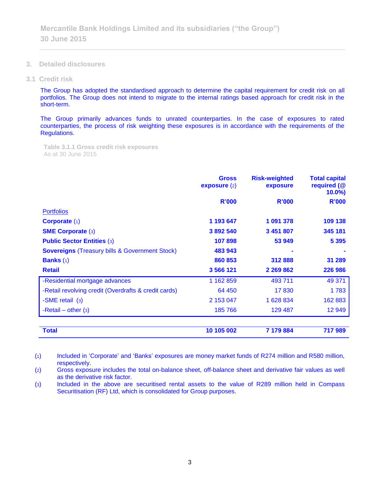- **3. Detailed disclosures**
- **3.1 Credit risk**

The Group has adopted the standardised approach to determine the capital requirement for credit risk on all portfolios. The Group does not intend to migrate to the internal ratings based approach for credit risk in the short-term.

The Group primarily advances funds to unrated counterparties. In the case of exposures to rated counterparties, the process of risk weighting these exposures is in accordance with the requirements of the Regulations.

**Table 3.1.1 Gross credit risk exposures**  As at 30 June 2015

|                                                           | <b>Gross</b><br>exposure(2) | <b>Risk-weighted</b><br>exposure | <b>Total capital</b><br>required (@<br>$10.0\%$ |
|-----------------------------------------------------------|-----------------------------|----------------------------------|-------------------------------------------------|
|                                                           | <b>R'000</b>                | <b>R'000</b>                     | <b>R'000</b>                                    |
| <b>Portfolios</b>                                         |                             |                                  |                                                 |
| Corporate (1)                                             | 1 193 647                   | 1 091 378                        | 109 138                                         |
| <b>SME Corporate (3)</b>                                  | 3892540                     | 3 451 807                        | 345 181                                         |
| <b>Public Sector Entities (3)</b>                         | 107898                      | 53 949                           | 5 3 9 5                                         |
| <b>Sovereigns (Treasury bills &amp; Government Stock)</b> | 483 943                     |                                  |                                                 |
| <b>Banks</b> $(1)$                                        | 860 853                     | 312888                           | 31 289                                          |
| <b>Retail</b>                                             | 3 566 121                   | 2 2 6 9 8 6 2                    | 226 986                                         |
| -Residential mortgage advances                            | 1 162 859                   | 493 711                          | 49 371                                          |
| -Retail revolving credit (Overdrafts & credit cards)      | 64 450                      | 17830                            | 1783                                            |
| -SME retail (3)                                           | 2 153 047                   | 1628834                          | 162 883                                         |
| -Retail – other $(3)$                                     | 185 766                     | 129 487                          | 12 949                                          |
| <b>Total</b>                                              | 10 105 002                  | 7 179 884                        | 717989                                          |

(1) Included in 'Corporate' and 'Banks' exposures are money market funds of R274 million and R580 million, respectively.

(2) Gross exposure includes the total on-balance sheet, off-balance sheet and derivative fair values as well as the derivative risk factor.

(3) Included in the above are securitised rental assets to the value of R289 million held in Compass Securitisation (RF) Ltd, which is consolidated for Group purposes.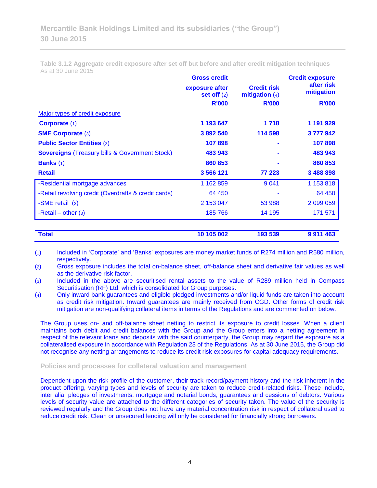**Table 3.1.2 Aggregate credit exposure after set off but before and after credit mitigation techniques** As at 30 June 2015

|                                                           | <b>Gross credit</b>             |                                        | <b>Credit exposure</b>   |  |
|-----------------------------------------------------------|---------------------------------|----------------------------------------|--------------------------|--|
|                                                           | exposure after<br>set off $(2)$ | <b>Credit risk</b><br>mitigation $(4)$ | after risk<br>mitigation |  |
|                                                           | <b>R'000</b>                    | <b>R'000</b>                           | <b>R'000</b>             |  |
| Major types of credit exposure                            |                                 |                                        |                          |  |
| Corporate $(1)$                                           | 1 193 647                       | 1 7 1 8                                | 1 191 929                |  |
| <b>SME Corporate (3)</b>                                  | 3 892 540                       | 114 598                                | 3777942                  |  |
| <b>Public Sector Entities (3)</b>                         | 107898                          |                                        | 107898                   |  |
| <b>Sovereigns (Treasury bills &amp; Government Stock)</b> | 483 943                         |                                        | 483 943                  |  |
| <b>Banks</b> $(1)$                                        | 860 853                         |                                        | 860 853                  |  |
| <b>Retail</b>                                             | 3 566 121                       | 77 223                                 | 3 488 898                |  |
| -Residential mortgage advances                            | 1 162 859                       | 9 0 4 1                                | 1 153 818                |  |
| -Retail revolving credit (Overdrafts & credit cards)      | 64 450                          |                                        | 64 450                   |  |
| -SME retail (3)                                           | 2 153 047                       | 53 988                                 | 2 099 059                |  |
| -Retail – other $(3)$                                     | 185 766                         | 14 195                                 | 171 571                  |  |
| <b>Total</b>                                              | 10 105 002                      | 193 539                                | 9 9 1 4 4 6 3            |  |

(1) Included in 'Corporate' and 'Banks' exposures are money market funds of R274 million and R580 million, respectively.

(2) Gross exposure includes the total on-balance sheet, off-balance sheet and derivative fair values as well as the derivative risk factor.

(3) Included in the above are securitised rental assets to the value of R289 million held in Compass Securitisation (RF) Ltd, which is consolidated for Group purposes.

(4) Only inward bank guarantees and eligible pledged investments and/or liquid funds are taken into account as credit risk mitigation. Inward guarantees are mainly received from CGD. Other forms of credit risk mitigation are non-qualifying collateral items in terms of the Regulations and are commented on below.

The Group uses on- and off-balance sheet netting to restrict its exposure to credit losses. When a client maintains both debit and credit balances with the Group and the Group enters into a netting agreement in respect of the relevant loans and deposits with the said counterparty, the Group may regard the exposure as a collateralised exposure in accordance with Regulation 23 of the Regulations. As at 30 June 2015, the Group did not recognise any netting arrangements to reduce its credit risk exposures for capital adequacy requirements.

## **Policies and processes for collateral valuation and management**

Dependent upon the risk profile of the customer, their track record/payment history and the risk inherent in the product offering, varying types and levels of security are taken to reduce credit-related risks. These include, inter alia, pledges of investments, mortgage and notarial bonds, guarantees and cessions of debtors. Various levels of security value are attached to the different categories of security taken. The value of the security is reviewed regularly and the Group does not have any material concentration risk in respect of collateral used to reduce credit risk. Clean or unsecured lending will only be considered for financially strong borrowers.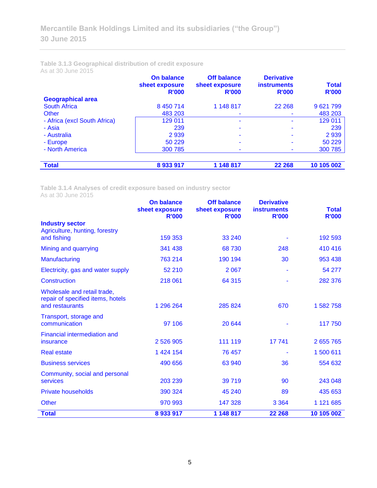**Table 3.1.3 Geographical distribution of credit exposure** As at 30 June 2015

|                              | <b>On balance</b><br>sheet exposure<br><b>R'000</b> | <b>Off balance</b><br>sheet exposure<br><b>R'000</b> | <b>Derivative</b><br><b>instruments</b><br><b>R'000</b> | <b>Total</b><br><b>R'000</b> |
|------------------------------|-----------------------------------------------------|------------------------------------------------------|---------------------------------------------------------|------------------------------|
| <b>Geographical area</b>     |                                                     |                                                      |                                                         |                              |
| <b>South Africa</b>          | 8 450 714                                           | 1 148 817                                            | 22 2 68                                                 | 9 621 799                    |
| Other                        | 483 203                                             |                                                      |                                                         | 483 203                      |
| - Africa (excl South Africa) | 129 011                                             | ۰                                                    |                                                         | 129 011                      |
| - Asia                       | 239                                                 |                                                      |                                                         | 239                          |
| - Australia                  | 2939                                                | ۰                                                    |                                                         | 2939                         |
| - Europe                     | 50 229                                              | -                                                    |                                                         | 50 229                       |
| - North America              | 300 785                                             | ۰                                                    |                                                         | 300 785                      |
|                              |                                                     |                                                      |                                                         |                              |
| <b>Total</b>                 | 8933917                                             | 1 148 817                                            | 22 268                                                  | 10 105 002                   |

**Table 3.1.4 Analyses of credit exposure based on industry sector** As at 30 June 2015

|                                                                                     | <b>On balance</b><br>sheet exposure<br><b>R'000</b> | <b>Off balance</b><br>sheet exposure<br><b>R'000</b> | <b>Derivative</b><br><b>instruments</b><br><b>R'000</b> | <b>Total</b><br><b>R'000</b> |
|-------------------------------------------------------------------------------------|-----------------------------------------------------|------------------------------------------------------|---------------------------------------------------------|------------------------------|
| <b>Industry sector</b>                                                              |                                                     |                                                      |                                                         |                              |
| Agriculture, hunting, forestry<br>and fishing                                       | 159 353                                             | 33 240                                               |                                                         | 192 593                      |
|                                                                                     |                                                     |                                                      |                                                         |                              |
| Mining and quarrying                                                                | 341 438                                             | 68730                                                | 248                                                     | 410 416                      |
| Manufacturing                                                                       | 763 214                                             | 190 194                                              | 30                                                      | 953 438                      |
| Electricity, gas and water supply                                                   | 52 210                                              | 2 0 6 7                                              |                                                         | 54 277                       |
| Construction                                                                        | 218 061                                             | 64 315                                               |                                                         | 282 376                      |
| Wholesale and retail trade,<br>repair of specified items, hotels<br>and restaurants | 1 296 264                                           | 285 824                                              | 670                                                     | 1 582 758                    |
| Transport, storage and<br>communication                                             | 97 106                                              | 20 644                                               |                                                         | 117 750                      |
| Financial intermediation and<br>insurance                                           | 2 526 905                                           | 111 119                                              | 17741                                                   | 2 655 765                    |
| <b>Real estate</b>                                                                  | 1 424 154                                           | 76 457                                               |                                                         | 1 500 611                    |
| <b>Business services</b>                                                            | 490 656                                             | 63 940                                               | 36                                                      | 554 632                      |
| Community, social and personal<br>services                                          | 203 239                                             | 39 719                                               | 90                                                      | 243 048                      |
| <b>Private households</b>                                                           | 390 324                                             | 45 240                                               | 89                                                      | 435 653                      |
| <b>Other</b>                                                                        | 970 993                                             | 147 328                                              | 3 3 6 4                                                 | 1 121 685                    |
| <b>Total</b>                                                                        | 8933917                                             | 1 148 817                                            | 22 268                                                  | 10 105 002                   |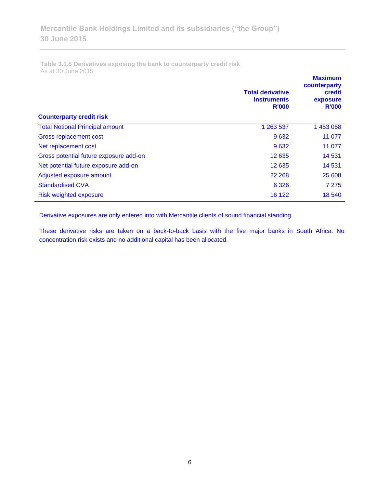**Table 3.1.5 Derivatives exposing the bank to counterparty credit risk**  As at 30 June 2015

| <b>Counterparty credit risk</b>        | <b>Total derivative</b><br><b>instruments</b><br><b>R'000</b> | <b>Maximum</b><br>counterparty<br>credit<br>exposure<br><b>R'000</b> |
|----------------------------------------|---------------------------------------------------------------|----------------------------------------------------------------------|
| <b>Total Notional Principal amount</b> | 1 263 537                                                     | 1 453 068                                                            |
| Gross replacement cost                 | 9632                                                          | 11 077                                                               |
| Net replacement cost                   | 9632                                                          | 11 077                                                               |
| Gross potential future exposure add-on | 12 635                                                        | 14 5 31                                                              |
| Net potential future exposure add-on   | 12 635                                                        | 14 5 31                                                              |
| Adjusted exposure amount               | 22 2 68                                                       | 25 608                                                               |
| <b>Standardised CVA</b>                | 6 3 2 6                                                       | 7 2 7 5                                                              |
| Risk weighted exposure                 | 16 122                                                        | 18 540                                                               |

Derivative exposures are only entered into with Mercantile clients of sound financial standing.

These derivative risks are taken on a back-to-back basis with the five major banks in South Africa. No concentration risk exists and no additional capital has been allocated.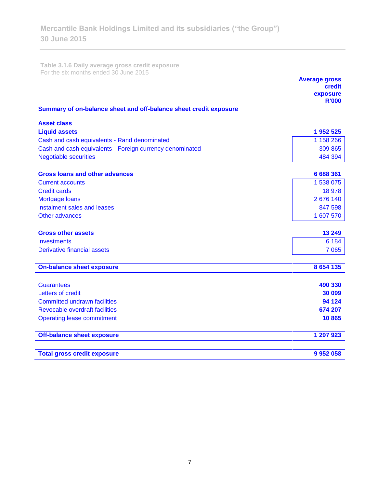**Table 3.1.6 Daily average gross credit exposure**  For the six months ended 30 June 2015

|                                                                   | <b>Average gross</b><br>credit<br>exposure<br><b>R'000</b> |
|-------------------------------------------------------------------|------------------------------------------------------------|
| Summary of on-balance sheet and off-balance sheet credit exposure |                                                            |
| <b>Asset class</b>                                                |                                                            |
| <b>Liquid assets</b>                                              | 1 952 525                                                  |
| Cash and cash equivalents - Rand denominated                      | 1 158 266                                                  |
| Cash and cash equivalents - Foreign currency denominated          | 309 865                                                    |
| <b>Negotiable securities</b>                                      | 484 394                                                    |
|                                                                   |                                                            |
| <b>Gross loans and other advances</b>                             | 6 688 361<br>1 538 075                                     |
| <b>Current accounts</b><br><b>Credit cards</b>                    | 18 978                                                     |
| Mortgage loans                                                    | 2 676 140                                                  |
| Instalment sales and leases                                       | 847 598                                                    |
| Other advances                                                    | 1 607 570                                                  |
|                                                                   |                                                            |
| <b>Gross other assets</b>                                         | 13 249                                                     |
| Investments                                                       | 6 1 8 4                                                    |
| <b>Derivative financial assets</b>                                | 7 0 65                                                     |
| <b>On-balance sheet exposure</b>                                  | 8 6 5 4 1 3 5                                              |
| <b>Guarantees</b>                                                 | 490 330                                                    |
| Letters of credit                                                 | 30 099                                                     |
| <b>Committed undrawn facilities</b>                               | 94 124                                                     |
| <b>Revocable overdraft facilities</b>                             | 674 207                                                    |
| <b>Operating lease commitment</b>                                 | 10865                                                      |
| <b>Off-balance sheet exposure</b>                                 | 1 297 923                                                  |
| <b>Total gross credit exposure</b>                                | 9 9 5 2 0 5 8                                              |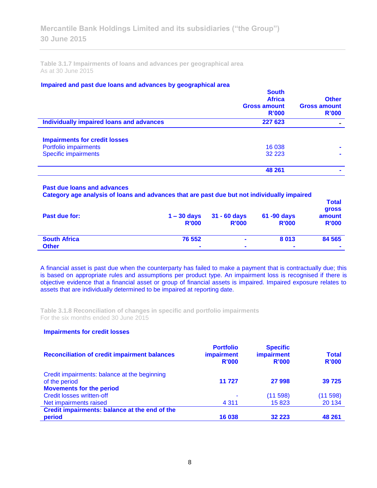**Table 3.1.7 Impairments of loans and advances per geographical area**  As at 30 June 2015

#### **Impaired and past due loans and advances by geographical area**

|                                          | <b>South</b><br><b>Africa</b><br><b>Gross amount</b><br>R'000 | <b>Other</b><br><b>Gross amount</b><br>R'000 |
|------------------------------------------|---------------------------------------------------------------|----------------------------------------------|
| Individually impaired loans and advances | 227 623                                                       |                                              |
| <b>Impairments for credit losses</b>     |                                                               |                                              |
| Portfolio impairments                    | 16 038                                                        |                                              |
| <b>Specific impairments</b>              | 32 2 2 3                                                      | $\blacksquare$                               |
|                                          | 48 261                                                        |                                              |

## **Past due loans and advances**

**Category age analysis of loans and advances that are past due but not individually impaired** 

| Past due for:       | $1 - 30$ days<br><b>R'000</b> | $31 - 60$ days<br><b>R'000</b> | 61 -90 days<br><b>R'000</b> | <b>Total</b><br><b>gross</b><br>amount<br><b>R'000</b> |
|---------------------|-------------------------------|--------------------------------|-----------------------------|--------------------------------------------------------|
| <b>South Africa</b> | 76 552                        | $\blacksquare$                 | 8013                        | 84 5 65                                                |
| <b>Other</b>        | $\blacksquare$                | $\blacksquare$                 | $\blacksquare$              | $\mathbf{r}$                                           |

A financial asset is past due when the counterparty has failed to make a payment that is contractually due; this is based on appropriate rules and assumptions per product type. An impairment loss is recognised if there is objective evidence that a financial asset or group of financial assets is impaired. Impaired exposure relates to assets that are individually determined to be impaired at reporting date.

**Table 3.1.8 Reconciliation of changes in specific and portfolio impairments**  For the six months ended 30 June 2015

### **Impairments for credit losses**

| <b>Reconciliation of credit impairment balances</b> | <b>Portfolio</b><br><b>impairment</b><br>R'000 | <b>Specific</b><br>impairment<br>R'000 | <b>Total</b><br><b>R'000</b> |
|-----------------------------------------------------|------------------------------------------------|----------------------------------------|------------------------------|
| Credit impairments: balance at the beginning        |                                                |                                        |                              |
| of the period                                       | 11 727                                         | 27 998                                 | 39 7 25                      |
| <b>Movements for the period</b>                     |                                                |                                        |                              |
| Credit losses written-off                           | ۰                                              | (11598)                                | (11598)                      |
| Net impairments raised                              | 4 3 1 1                                        | 15823                                  | 20 134                       |
| Credit impairments: balance at the end of the       |                                                |                                        |                              |
| period                                              | 16 038                                         | 32 2 2 3                               | 48 261                       |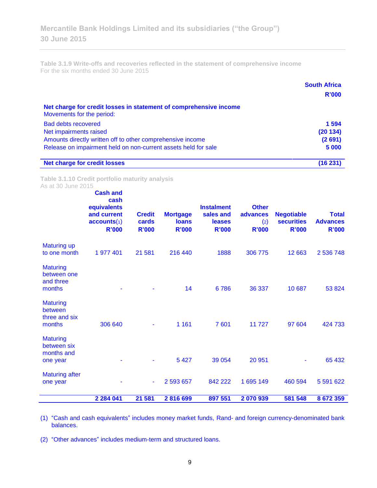**Table 3.1.9 Write-offs and recoveries reflected in the statement of comprehensive income** For the six months ended 30 June 2015

|                                                                                                | <b>South Africa</b><br>R'000 |
|------------------------------------------------------------------------------------------------|------------------------------|
| Net charge for credit losses in statement of comprehensive income<br>Movements for the period: |                              |
| <b>Bad debts recovered</b>                                                                     | 1 5 9 4                      |
| Net impairments raised                                                                         | (20134)                      |
| Amounts directly written off to other comprehensive income                                     | (2691)                       |
| Release on impairment held on non-current assets held for sale                                 | 5 000                        |
| <b>Net charge for credit losses</b>                                                            | (16 231)                     |

**Table 3.1.10 Credit portfolio maturity analysis** As at 30 June 2015

|                                                          | <b>Cash and</b><br>cash<br>equivalents<br>and current<br>accounts(1)<br><b>R'000</b> | <b>Credit</b><br>cards<br><b>R'000</b> | <b>Mortgage</b><br><b>loans</b><br><b>R'000</b> | <b>Instalment</b><br>sales and<br><b>leases</b><br><b>R'000</b> | <b>Other</b><br>advances<br>$\left( 2\right)$<br><b>R'000</b> | <b>Negotiable</b><br><b>securities</b><br><b>R'000</b> | <b>Total</b><br><b>Advances</b><br><b>R'000</b> |
|----------------------------------------------------------|--------------------------------------------------------------------------------------|----------------------------------------|-------------------------------------------------|-----------------------------------------------------------------|---------------------------------------------------------------|--------------------------------------------------------|-------------------------------------------------|
| <b>Maturing up</b><br>to one month                       | 1 977 401                                                                            | 21 581                                 | 216 440                                         | 1888                                                            | 306 775                                                       | 12 6 63                                                | 2 536 748                                       |
| <b>Maturing</b><br>between one<br>and three<br>months    |                                                                                      |                                        | 14                                              | 6786                                                            | 36 337                                                        | 10 687                                                 | 53 824                                          |
| <b>Maturing</b><br>between<br>three and six<br>months    | 306 640                                                                              |                                        | 1 1 6 1                                         | 7 601                                                           | 11727                                                         | 97 604                                                 | 424 733                                         |
| <b>Maturing</b><br>between six<br>months and<br>one year |                                                                                      |                                        | 5 4 2 7                                         | 39 0 54                                                         | 20 951                                                        |                                                        | 65 432                                          |
| <b>Maturing after</b><br>one year                        |                                                                                      |                                        | 2 593 657                                       | 842 222                                                         | 1 695 149                                                     | 460 594                                                | 5 591 622                                       |
|                                                          | 2 2 8 4 0 4 1                                                                        | 21 581                                 | 2816699                                         | 897 551                                                         | 2070939                                                       | 581 548                                                | 8672359                                         |

(1) "Cash and cash equivalents" includes money market funds, Rand- and foreign currency-denominated bank balances.

(2) "Other advances" includes medium-term and structured loans.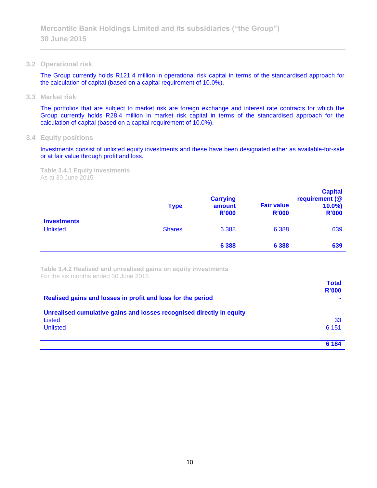**3.2 Operational risk**

The Group currently holds R121.4 million in operational risk capital in terms of the standardised approach for the calculation of capital (based on a capital requirement of 10.0%).

**3.3 Market risk**

The portfolios that are subject to market risk are foreign exchange and interest rate contracts for which the Group currently holds R28.4 million in market risk capital in terms of the standardised approach for the calculation of capital (based on a capital requirement of 10.0%).

**3.4 Equity positions**

Investments consist of unlisted equity investments and these have been designated either as available-for-sale or at fair value through profit and loss.

**Table 3.4.1 Equity investments** As at 30 June 2015

|                                       | <b>Type</b>   | <b>Carrying</b><br>amount<br><b>R'000</b> | <b>Fair value</b><br><b>R'000</b> | <b>Capital</b><br>requirement (@<br>$10.0\%$<br><b>R'000</b> |
|---------------------------------------|---------------|-------------------------------------------|-----------------------------------|--------------------------------------------------------------|
| <b>Investments</b><br><b>Unlisted</b> | <b>Shares</b> | 6 3 8 8                                   | 6 3 8 8                           | 639                                                          |
|                                       |               | 6 3 8 8                                   | 6 3 8 8                           | 639                                                          |

**Table 3.4.2 Realised and unrealised gains on equity investments** For the six months ended 30 June 2015

| Realised gains and losses in profit and loss for the period                                       | <b>Total</b><br>R'000 |
|---------------------------------------------------------------------------------------------------|-----------------------|
| Unrealised cumulative gains and losses recognised directly in equity<br>Listed<br><b>Unlisted</b> | 33<br>6 1 5 1         |
|                                                                                                   | 6 184                 |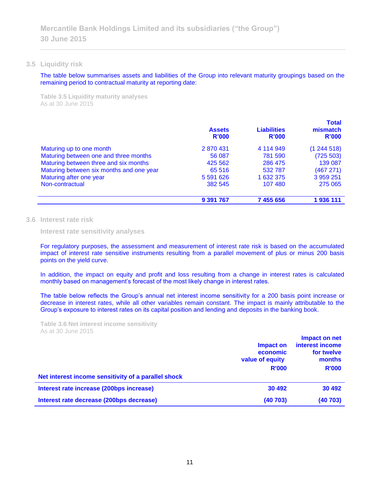#### **3.5 Liquidity risk**

The table below summarises assets and liabilities of the Group into relevant maturity groupings based on the remaining period to contractual maturity at reporting date:

**Table 3.5 Liquidity maturity analyses** As at 30 June 2015

|                                          | <b>Assets</b><br>R'000 | <b>Liabilities</b><br><b>R'000</b> | <b>Total</b><br>mismatch<br>R'000 |
|------------------------------------------|------------------------|------------------------------------|-----------------------------------|
| Maturing up to one month                 | 2870431                | 4 114 949                          | (1244518)                         |
| Maturing between one and three months    | 56 087                 | 781 590                            | (725 503)                         |
| Maturing between three and six months    | 425 562                | 286 475                            | 139 087                           |
| Maturing between six months and one year | 65 516                 | 532 787                            | (467 271)                         |
| Maturing after one year                  | 5 591 626              | 1 632 375                          | 3 959 251                         |
| Non-contractual                          | 382 545                | 107 480                            | 275 065                           |
|                                          | 9 391 767              | 7 455 656                          | 1936 111                          |

### **3.6 Interest rate risk**

**Interest rate sensitivity analyses**

For regulatory purposes, the assessment and measurement of interest rate risk is based on the accumulated impact of interest rate sensitive instruments resulting from a parallel movement of plus or minus 200 basis points on the yield curve.

In addition, the impact on equity and profit and loss resulting from a change in interest rates is calculated monthly based on management's forecast of the most likely change in interest rates.

The table below reflects the Group's annual net interest income sensitivity for a 200 basis point increase or decrease in interest rates, while all other variables remain constant. The impact is mainly attributable to the Group's exposure to interest rates on its capital position and lending and deposits in the banking book.

**Table 3.6 Net interest income sensitivity** As at 30 June 2015

|                                                     | Impact on<br>economic<br>value of equity<br><b>R'000</b> | Impact on net<br>interest income<br>for twelve<br>months<br><b>R'000</b> |
|-----------------------------------------------------|----------------------------------------------------------|--------------------------------------------------------------------------|
| Net interest income sensitivity of a parallel shock |                                                          |                                                                          |
| Interest rate increase (200bps increase)            | 30 492                                                   | 30 492                                                                   |
| Interest rate decrease (200bps decrease)            | (40703)                                                  | (40703)                                                                  |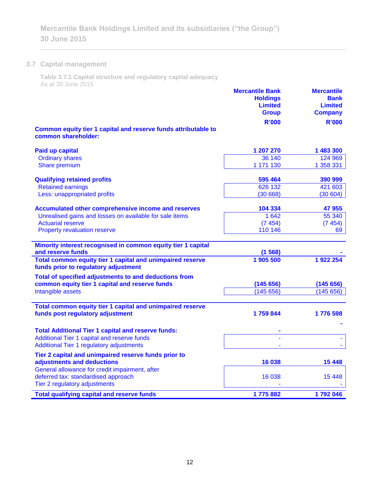# **3.7 Capital management**

 $\frac{\partial}{\partial x^2} = \frac{\partial}{\partial x^2} + \frac{\partial}{\partial y^2} + \frac{\partial}{\partial z^2} + \frac{\partial}{\partial z^2} + \frac{\partial}{\partial z^2} + \frac{\partial}{\partial z^2} + \frac{\partial}{\partial z^2} + \frac{\partial}{\partial z^2} + \frac{\partial}{\partial z^2} + \frac{\partial}{\partial z^2} + \frac{\partial}{\partial z^2} + \frac{\partial}{\partial z^2} + \frac{\partial}{\partial z^2} + \frac{\partial}{\partial z^2} + \frac{\partial}{\partial z^2} + \frac{\partial}{\partial z^2} + \frac{\partial}{\partial z^2} + \frac{\partial$ 

**Table 3.7.1 Capital structure and regulatory capital adequacy** As at 30 June 2015

| QUUU UUNG ZUNU                                                                                    | <b>Mercantile Bank</b><br><b>Holdings</b><br><b>Limited</b><br><b>Group</b><br><b>R'000</b> | <b>Mercantile</b><br><b>Bank</b><br><b>Limited</b><br><b>Company</b><br><b>R'000</b> |
|---------------------------------------------------------------------------------------------------|---------------------------------------------------------------------------------------------|--------------------------------------------------------------------------------------|
| Common equity tier 1 capital and reserve funds attributable to<br>common shareholder:             |                                                                                             |                                                                                      |
| <b>Paid up capital</b>                                                                            | 1 207 270                                                                                   | 1 483 300                                                                            |
| <b>Ordinary shares</b>                                                                            | 36 140                                                                                      | 124 969                                                                              |
| Share premium                                                                                     | 1 171 130                                                                                   | 1 358 331                                                                            |
| <b>Qualifying retained profits</b>                                                                | 595 464                                                                                     | 390 999                                                                              |
| <b>Retained earnings</b>                                                                          | 626 132                                                                                     | 421 603                                                                              |
| Less: unappropriated profits                                                                      | (30668)                                                                                     | (30604)                                                                              |
| <b>Accumulated other comprehensive income and reserves</b>                                        | 104 334                                                                                     | 47 955                                                                               |
| Unrealised gains and losses on available for sale items                                           | 1 642                                                                                       | 55 340                                                                               |
| <b>Actuarial reserve</b>                                                                          | (7454)                                                                                      | (7454)                                                                               |
| Property revaluation reserve                                                                      | 110 146                                                                                     | 69                                                                                   |
| Minority interest recognised in common equity tier 1 capital                                      |                                                                                             |                                                                                      |
| and reserve funds                                                                                 | (1568)                                                                                      |                                                                                      |
| Total common equity tier 1 capital and unimpaired reserve<br>funds prior to regulatory adjustment | 1 905 500                                                                                   | 1922 254                                                                             |
| Total of specified adjustments to and deductions from                                             |                                                                                             |                                                                                      |
| common equity tier 1 capital and reserve funds                                                    | (145656)                                                                                    | (145656)                                                                             |
| Intangible assets                                                                                 | (145656)                                                                                    | (145656)                                                                             |
| Total common equity tier 1 capital and unimpaired reserve                                         |                                                                                             |                                                                                      |
| funds post regulatory adjustment                                                                  | 1759844                                                                                     | 1776 598                                                                             |
| <b>Total Additional Tier 1 capital and reserve funds:</b>                                         |                                                                                             |                                                                                      |
| Additional Tier 1 capital and reserve funds                                                       |                                                                                             |                                                                                      |
| Additional Tier 1 regulatory adjustments                                                          |                                                                                             |                                                                                      |
| Tier 2 capital and unimpaired reserve funds prior to                                              |                                                                                             |                                                                                      |
| adjustments and deductions                                                                        | 16 038                                                                                      | 15 4 48                                                                              |
| General allowance for credit impairment, after                                                    |                                                                                             |                                                                                      |
| deferred tax: standardised approach<br>Tier 2 regulatory adjustments                              | 16 038                                                                                      | 15 4 48                                                                              |
|                                                                                                   |                                                                                             |                                                                                      |
| <b>Total qualifying capital and reserve funds</b>                                                 | 1775882                                                                                     | 1792046                                                                              |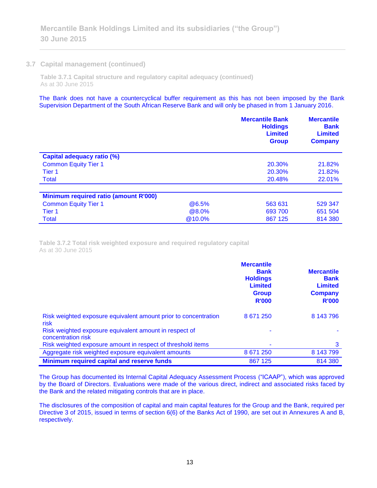## **3.7 Capital management (continued)**

**Table 3.7.1 Capital structure and regulatory capital adequacy (continued)** As at 30 June 2015

The Bank does not have a countercyclical buffer requirement as this has not been imposed by the Bank Supervision Department of the South African Reserve Bank and will only be phased in from 1 January 2016.

|                                              |        | <b>Mercantile Bank</b><br><b>Holdings</b><br><b>Limited</b><br><b>Group</b> | <b>Mercantile</b><br><b>Bank</b><br><b>Limited</b><br><b>Company</b> |
|----------------------------------------------|--------|-----------------------------------------------------------------------------|----------------------------------------------------------------------|
| Capital adequacy ratio (%)                   |        |                                                                             |                                                                      |
| <b>Common Equity Tier 1</b>                  |        | 20.30%                                                                      | 21.82%                                                               |
| Tier 1                                       |        | 20.30%                                                                      | 21.82%                                                               |
| <b>Total</b>                                 |        | 20.48%                                                                      | 22.01%                                                               |
|                                              |        |                                                                             |                                                                      |
| <b>Minimum required ratio (amount R'000)</b> |        |                                                                             |                                                                      |
| <b>Common Equity Tier 1</b>                  | @6.5%  | 563 631                                                                     | 529 347                                                              |
| Tier 1                                       | @8.0%  | 693 700                                                                     | 651 504                                                              |
| <b>Total</b>                                 | @10.0% | 867 125                                                                     | 814 380                                                              |

**Table 3.7.2 Total risk weighted exposure and required regulatory capital** As at 30 June 2015

|                                                                              | <b>Mercantile</b><br><b>Bank</b><br><b>Holdings</b><br><b>Limited</b><br><b>Group</b><br><b>R'000</b> | <b>Mercantile</b><br><b>Bank</b><br><b>Limited</b><br><b>Company</b><br><b>R'000</b> |
|------------------------------------------------------------------------------|-------------------------------------------------------------------------------------------------------|--------------------------------------------------------------------------------------|
| Risk weighted exposure equivalent amount prior to concentration<br>risk      | 8 671 250                                                                                             | 8 143 796                                                                            |
| Risk weighted exposure equivalent amount in respect of<br>concentration risk |                                                                                                       |                                                                                      |
| Risk weighted exposure amount in respect of threshold items                  |                                                                                                       | 3                                                                                    |
| Aggregate risk weighted exposure equivalent amounts                          | 8 671 250                                                                                             | 8 143 799                                                                            |
| Minimum required capital and reserve funds                                   | 867 125                                                                                               | 814 380                                                                              |

The Group has documented its Internal Capital Adequacy Assessment Process ("ICAAP"), which was approved by the Board of Directors. Evaluations were made of the various direct, indirect and associated risks faced by the Bank and the related mitigating controls that are in place.

The disclosures of the composition of capital and main capital features for the Group and the Bank, required per Directive 3 of 2015, issued in terms of section 6(6) of the Banks Act of 1990, are set out in Annexures A and B, respectively.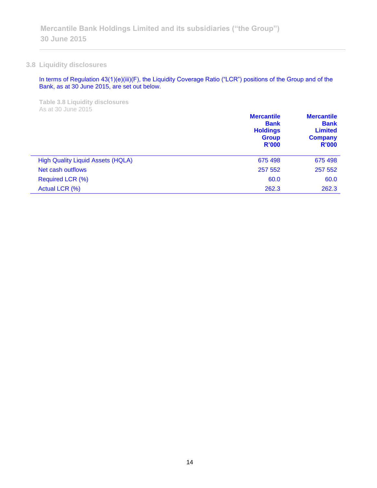# **3.8 Liquidity disclosures**

In terms of Regulation 43(1)(e)(iii)(F), the Liquidity Coverage Ratio ("LCR") positions of the Group and of the Bank, as at 30 June 2015, are set out below.

**Table 3.8 Liquidity disclosures** As at 30 June 2015

|                                          | <b>Mercantile</b><br><b>Bank</b><br><b>Holdings</b><br><b>Group</b><br>R'000 | <b>Mercantile</b><br><b>Bank</b><br><b>Limited</b><br><b>Company</b><br><b>R'000</b> |
|------------------------------------------|------------------------------------------------------------------------------|--------------------------------------------------------------------------------------|
| <b>High Quality Liquid Assets (HQLA)</b> | 675 498                                                                      | 675 498                                                                              |
| Net cash outflows                        | 257 552                                                                      | 257 552                                                                              |
| Required LCR (%)                         | 60.0                                                                         | 60.0                                                                                 |
| Actual LCR (%)                           | 262.3                                                                        | 262.3                                                                                |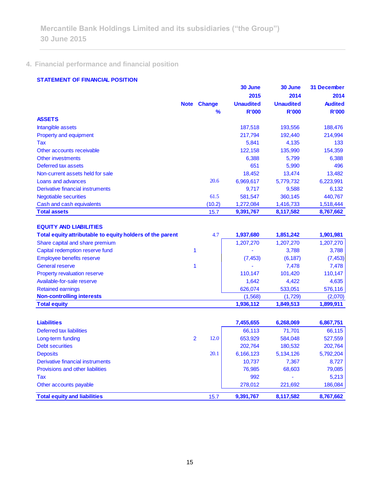# **4. Financial performance and financial position**

# **STATEMENT OF FINANCIAL POSITION**

|                                                           |                |               | 30 June          | 30 June          | <b>31 December</b> |
|-----------------------------------------------------------|----------------|---------------|------------------|------------------|--------------------|
|                                                           |                |               | 2015             | 2014             | 2014               |
|                                                           | <b>Note</b>    | <b>Change</b> | <b>Unaudited</b> | <b>Unaudited</b> | <b>Audited</b>     |
|                                                           |                | %             | <b>R'000</b>     | <b>R'000</b>     | <b>R'000</b>       |
| <b>ASSETS</b>                                             |                |               |                  |                  |                    |
| Intangible assets                                         |                |               | 187,518          | 193,556          | 188,476            |
| <b>Property and equipment</b>                             |                |               | 217,794          | 192,440          | 214,994            |
| Tax                                                       |                |               | 5,841            | 4,135            | 133                |
| Other accounts receivable                                 |                |               | 122,158          | 135,990          | 154,359            |
| <b>Other investments</b>                                  |                |               | 6,388            | 5,799            | 6,388              |
| Deferred tax assets                                       |                |               | 651              | 5,990            | 496                |
| Non-current assets held for sale                          |                |               | 18,452           | 13,474           | 13,482             |
| Loans and advances                                        |                | 20.6          | 6,969,617        | 5,779,732        | 6,223,991          |
| Derivative financial instruments                          |                |               | 9,717            | 9,588            | 6,132              |
| <b>Negotiable securities</b>                              |                | 61.5          | 581,547          | 360,145          | 440,767            |
| Cash and cash equivalents                                 |                | (10.2)        | 1,272,084        | 1,416,733        | 1,518,444          |
| <b>Total assets</b>                                       |                | 15.7          | 9,391,767        | 8,117,582        | 8,767,662          |
| <b>EQUITY AND LIABILITIES</b>                             |                |               |                  |                  |                    |
| Total equity attributable to equity holders of the parent |                | 4.7           | 1,937,680        | 1,851,242        | 1,901,981          |
| Share capital and share premium                           |                |               | 1,207,270        | 1,207,270        | 1,207,270          |
| Capital redemption reserve fund                           | 1              |               |                  | 3,788            | 3,788              |
| Employee benefits reserve                                 |                |               | (7, 453)         | (6, 187)         | (7, 453)           |
| <b>General reserve</b>                                    | 1              |               |                  | 7,478            | 7,478              |
| Property revaluation reserve                              |                |               | 110,147          | 101,420          | 110,147            |
| Available-for-sale reserve                                |                |               | 1,642            | 4,422            | 4,635              |
| <b>Retained earnings</b>                                  |                |               | 626,074          | 533,051          | 576,116            |
| <b>Non-controlling interests</b>                          |                |               | (1,568)          | (1,729)          | (2,070)            |
| <b>Total equity</b>                                       |                |               | 1,936,112        | 1,849,513        | 1,899,911          |
|                                                           |                |               |                  |                  |                    |
| <b>Liabilities</b>                                        |                |               | 7,455,655        | 6,268,069        | 6,867,751          |
| <b>Deferred tax liabilities</b>                           |                |               | 66,113           | 71,701           | 66,115             |
| Long-term funding                                         | $\overline{2}$ | 12.0          | 653,929          | 584,048          | 527,559            |
| <b>Debt securities</b>                                    |                |               | 202,764          | 180,532          | 202,764            |
| <b>Deposits</b>                                           |                | 20.1          | 6,166,123        | 5,134,126        | 5,792,204          |
| Derivative financial instruments                          |                |               | 10,737           | 7,367            | 8,727              |
| <b>Provisions and other liabilities</b>                   |                |               | 76,985           | 68,603           | 79,085             |
| Tax                                                       |                |               | 992              |                  | 5,213              |

Other accounts payable 278,012 221,692 186,084 **Total equity and liabilities** 15.7 **9,391,767 8,117,582 8,767,662**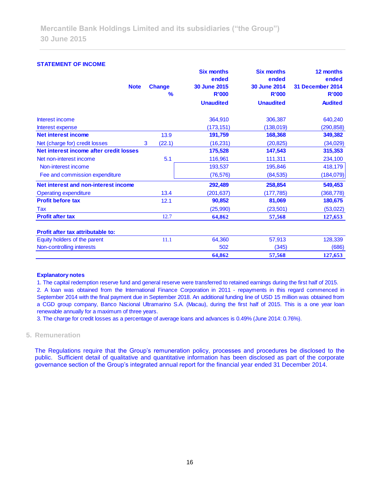#### **STATEMENT OF INCOME**

| <b>Note</b>                             |   | <b>Change</b><br>% | <b>Six months</b><br>ended<br><b>30 June 2015</b><br><b>R'000</b> | <b>Six months</b><br>ended<br><b>30 June 2014</b><br><b>R'000</b> | 12 months<br>ended<br><b>31 December 2014</b><br><b>R'000</b> |
|-----------------------------------------|---|--------------------|-------------------------------------------------------------------|-------------------------------------------------------------------|---------------------------------------------------------------|
|                                         |   |                    | <b>Unaudited</b>                                                  | <b>Unaudited</b>                                                  | <b>Audited</b>                                                |
| Interest income                         |   |                    | 364,910                                                           | 306,387                                                           | 640,240                                                       |
| Interest expense                        |   |                    | (173, 151)                                                        | (138, 019)                                                        | (290, 858)                                                    |
| <b>Net interest income</b>              |   | 13.9               | 191,759                                                           | 168,368                                                           | 349,382                                                       |
| Net (charge for) credit losses          | 3 | (22.1)             | (16, 231)                                                         | (20, 825)                                                         | (34, 029)                                                     |
| Net interest income after credit losses |   |                    | 175,528                                                           | 147,543                                                           | 315,353                                                       |
| Net non-interest income                 |   | 5.1                | 116,961                                                           | 111,311                                                           | 234,100                                                       |
| Non-interest income                     |   |                    | 193,537                                                           | 195,846                                                           | 418,179                                                       |
| Fee and commission expenditure          |   |                    | (76, 576)                                                         | (84, 535)                                                         | (184, 079)                                                    |
| Net interest and non-interest income    |   |                    | 292,489                                                           | 258,854                                                           | 549,453                                                       |
| <b>Operating expenditure</b>            |   | 13.4               | (201, 637)                                                        | (177, 785)                                                        | (368, 778)                                                    |
| <b>Profit before tax</b>                |   | 12.1               | 90,852                                                            | 81,069                                                            | 180,675                                                       |
| Tax                                     |   |                    | (25,990)                                                          | (23, 501)                                                         | (53, 022)                                                     |
| <b>Profit after tax</b>                 |   | 12.7               | 64,862                                                            | 57,568                                                            | 127,653                                                       |
| Profit after tax attributable to:       |   |                    |                                                                   |                                                                   |                                                               |
| Equity holders of the parent            |   | 11.1               | 64,360                                                            | 57,913                                                            | 128,339                                                       |
| Non-controlling interests               |   |                    | 502                                                               | (345)                                                             | (686)                                                         |
|                                         |   |                    | 64,862                                                            | 57,568                                                            | 127,653                                                       |

#### **Explanatory notes**

1. The capital redemption reserve fund and general reserve were transferred to retained earnings during the first half of 2015. 2. A loan was obtained from the International Finance Corporation in 2011 - repayments in this regard commenced in September 2014 with the final payment due in September 2018. An additional funding line of USD 15 million was obtained from a CGD group company, Banco Nacional Ultramarino S.A. (Macau), during the first half of 2015. This is a one year loan renewable annually for a maximum of three years.

3. The charge for credit losses as a percentage of average loans and advances is 0.49% (June 2014: 0.76%).

# **5. Remuneration**

The Regulations require that the Group's remuneration policy, processes and procedures be disclosed to the public. Sufficient detail of qualitative and quantitative information has been disclosed as part of the corporate governance section of the Group's integrated annual report for the financial year ended 31 December 2014.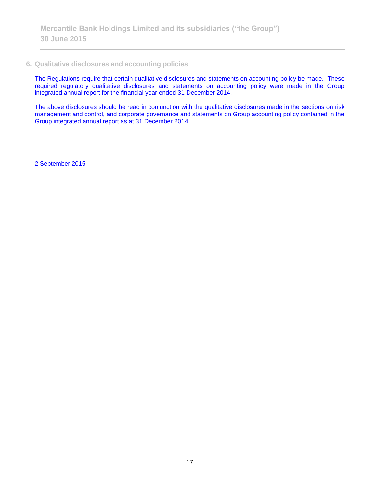# **6. Qualitative disclosures and accounting policies**

The Regulations require that certain qualitative disclosures and statements on accounting policy be made. These required regulatory qualitative disclosures and statements on accounting policy were made in the Group integrated annual report for the financial year ended 31 December 2014.

The above disclosures should be read in conjunction with the qualitative disclosures made in the sections on risk management and control, and corporate governance and statements on Group accounting policy contained in the Group integrated annual report as at 31 December 2014.

2 September 2015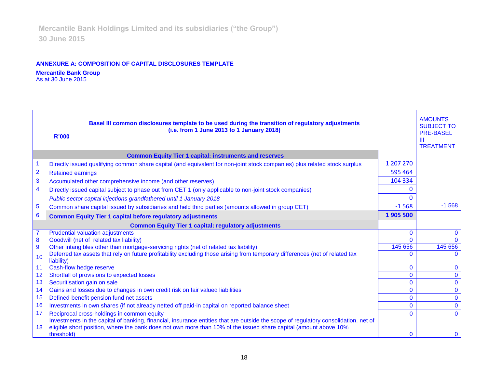# **ANNEXURE A: COMPOSITION OF CAPITAL DISCLOSURES TEMPLATE**

# **Mercantile Bank Group**

As at 30 June 2015

| Basel III common disclosures template to be used during the transition of regulatory adjustments<br>(i.e. from 1 June 2013 to 1 January 2018)<br><b>R'000</b> |                                                                                                                                                                                                                                                                       |              |                |  |  |
|---------------------------------------------------------------------------------------------------------------------------------------------------------------|-----------------------------------------------------------------------------------------------------------------------------------------------------------------------------------------------------------------------------------------------------------------------|--------------|----------------|--|--|
|                                                                                                                                                               | <b>Common Equity Tier 1 capital: instruments and reserves</b>                                                                                                                                                                                                         |              |                |  |  |
|                                                                                                                                                               | Directly issued qualifying common share capital (and equivalent for non-joint stock companies) plus related stock surplus                                                                                                                                             | 1 207 270    |                |  |  |
| $\overline{2}$                                                                                                                                                | <b>Retained earnings</b>                                                                                                                                                                                                                                              | 595 464      |                |  |  |
| 3                                                                                                                                                             | Accumulated other comprehensive income (and other reserves)                                                                                                                                                                                                           | 104 334      |                |  |  |
| 4                                                                                                                                                             | Directly issued capital subject to phase out from CET 1 (only applicable to non-joint stock companies)                                                                                                                                                                | 0            |                |  |  |
|                                                                                                                                                               | Public sector capital injections grandfathered until 1 January 2018                                                                                                                                                                                                   | $\Omega$     |                |  |  |
| 5                                                                                                                                                             | Common share capital issued by subsidiaries and held third parties (amounts allowed in group CET)                                                                                                                                                                     | $-1568$      | $-1568$        |  |  |
| 6                                                                                                                                                             | <b>Common Equity Tier 1 capital before regulatory adjustments</b>                                                                                                                                                                                                     | 1905 500     |                |  |  |
|                                                                                                                                                               | <b>Common Equity Tier 1 capital: regulatory adjustments</b>                                                                                                                                                                                                           |              |                |  |  |
| $\overline{7}$                                                                                                                                                | <b>Prudential valuation adjustments</b>                                                                                                                                                                                                                               | $\Omega$     | $\mathbf 0$    |  |  |
| 8                                                                                                                                                             | Goodwill (net of related tax liability)                                                                                                                                                                                                                               | $\Omega$     | $\Omega$       |  |  |
| 9                                                                                                                                                             | Other intangibles other than mortgage-servicing rights (net of related tax liability)                                                                                                                                                                                 | 145 656      | 145 656        |  |  |
| 10                                                                                                                                                            | Deferred tax assets that rely on future profitability excluding those arising from temporary differences (net of related tax<br>liability)                                                                                                                            | $\Omega$     | $\Omega$       |  |  |
| 11                                                                                                                                                            | Cash-flow hedge reserve                                                                                                                                                                                                                                               | $\mathbf{0}$ | $\mathbf{0}$   |  |  |
| 12                                                                                                                                                            | Shortfall of provisions to expected losses                                                                                                                                                                                                                            | $\Omega$     | $\mathbf 0$    |  |  |
| 13                                                                                                                                                            | Securitisation gain on sale                                                                                                                                                                                                                                           | $\mathbf{0}$ | $\bf{0}$       |  |  |
| 14                                                                                                                                                            | Gains and losses due to changes in own credit risk on fair valued liabilities                                                                                                                                                                                         | $\mathbf{0}$ | $\overline{0}$ |  |  |
| 15                                                                                                                                                            | Defined-benefit pension fund net assets                                                                                                                                                                                                                               | $\mathbf{0}$ | $\mathbf 0$    |  |  |
| 16                                                                                                                                                            | Investments in own shares (if not already netted off paid-in capital on reported balance sheet                                                                                                                                                                        | $\Omega$     | $\mathbf 0$    |  |  |
| 17                                                                                                                                                            | Reciprocal cross-holdings in common equity                                                                                                                                                                                                                            | $\Omega$     | $\Omega$       |  |  |
| 18                                                                                                                                                            | Investments in the capital of banking, financial, insurance entities that are outside the scope of regulatory consolidation, net of<br>eligible short position, where the bank does not own more than 10% of the issued share capital (amount above 10%<br>threshold) | $\Omega$     | $\mathbf{0}$   |  |  |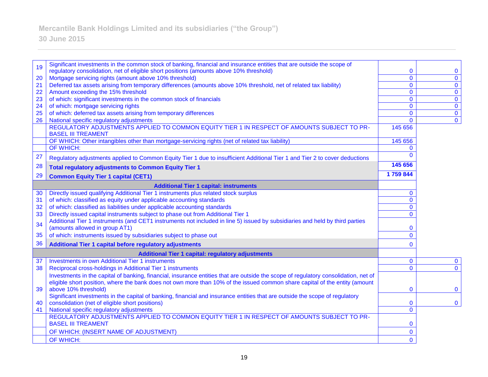| 19 | Significant investments in the common stock of banking, financial and insurance entities that are outside the scope of                  |                |                                |
|----|-----------------------------------------------------------------------------------------------------------------------------------------|----------------|--------------------------------|
|    | regulatory consolidation, net of eligible short positions (amounts above 10% threshold)                                                 | 0              | $\mathbf 0$                    |
| 20 | Mortgage servicing rights (amount above 10% threshold)                                                                                  | $\mathbf 0$    | $\mathbf{0}$                   |
| 21 | Deferred tax assets arising from temporary differences (amounts above 10% threshold, net of related tax liability)                      | $\mathbf{0}$   | $\mathbf 0$                    |
| 22 | Amount exceeding the 15% threshold                                                                                                      | $\mathbf{0}$   | $\mathbf{0}$                   |
| 23 | of which: significant investments in the common stock of financials                                                                     | 0              | $\mathbf 0$                    |
| 24 | of which: mortgage servicing rights                                                                                                     | $\mathbf{0}$   | $\mathbf 0$                    |
| 25 | of which: deferred tax assets arising from temporary differences                                                                        | 0<br>$\Omega$  | $\mathbf{0}$<br>$\overline{0}$ |
| 26 | National specific regulatory adjustments<br>REGULATORY ADJUSTMENTS APPLIED TO COMMON EQUITY TIER 1 IN RESPECT OF AMOUNTS SUBJECT TO PR- | 145 656        |                                |
|    | <b>BASEL III TREAMENT</b>                                                                                                               |                |                                |
|    | OF WHICH: Other intangibles other than mortgage-servicing rights (net of related tax liability)                                         | 145 656        |                                |
|    | <b>OF WHICH:</b>                                                                                                                        | $\mathbf{0}$   |                                |
| 27 | Regulatory adjustments applied to Common Equity Tier 1 due to insufficient Additional Tier 1 and Tier 2 to cover deductions             | $\Omega$       |                                |
| 28 | <b>Total regulatory adjustments to Common Equity Tier 1</b>                                                                             | 145 656        |                                |
| 29 | <b>Common Equity Tier 1 capital (CET1)</b>                                                                                              | 1759844        |                                |
|    | <b>Additional Tier 1 capital: instruments</b>                                                                                           |                |                                |
| 30 | Directly issued qualifying Additional Tier 1 instruments plus related stock surplus                                                     | $\mathbf{0}$   |                                |
| 31 | of which: classified as equity under applicable accounting standards                                                                    | $\overline{0}$ |                                |
| 32 | of which: classified as liabilities under applicable accounting standards                                                               | $\mathbf{0}$   |                                |
| 33 | Directly issued capital instruments subject to phase out from Additional Tier 1                                                         | $\overline{0}$ |                                |
|    | Additional Tier 1 instruments (and CET1 instruments not included in line 5) issued by subsidiaries and held by third parties            |                |                                |
| 34 | (amounts allowed in group AT1)                                                                                                          | 0              |                                |
| 35 | of which: instruments issued by subsidiaries subject to phase out                                                                       | $\mathbf{0}$   |                                |
| 36 | Additional Tier 1 capital before regulatory adjustments                                                                                 | $\Omega$       |                                |
|    | <b>Additional Tier 1 capital: regulatory adjustments</b>                                                                                |                |                                |
| 37 | <b>Investments in own Additional Tier 1 instruments</b>                                                                                 | $\mathbf 0$    | $\mathbf{0}$                   |
| 38 | Reciprocal cross-holdings in Additional Tier 1 instruments                                                                              | $\overline{0}$ | $\mathbf 0$                    |
|    | Investments in the capital of banking, financial, insurance entities that are outside the scope of regulatory consolidation, net of     |                |                                |
|    | eligible short position, where the bank does not own more than 10% of the issued common share capital of the entity (amount             |                |                                |
| 39 | above 10% threshold)                                                                                                                    | 0              | $\bf{0}$                       |
|    | Significant investments in the capital of banking, financial and insurance entities that are outside the scope of regulatory            |                |                                |
| 40 | consolidation (net of eligible short positions)                                                                                         | 0              | $\mathbf 0$                    |
| 41 | National specific regulatory adjustments                                                                                                | $\overline{0}$ |                                |
|    | REGULATORY ADJUSTMENTS APPLIED TO COMMON EQUITY TIER 1 IN RESPECT OF AMOUNTS SUBJECT TO PR-                                             |                |                                |
|    | <b>BASEL III TREAMENT</b>                                                                                                               | 0              |                                |
|    | OF WHICH: (INSERT NAME OF ADJUSTMENT)                                                                                                   | 0              |                                |
|    | OF WHICH:                                                                                                                               | $\mathbf{0}$   |                                |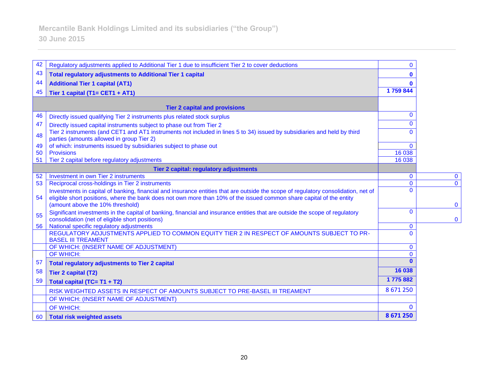| 42<br>Regulatory adjustments applied to Additional Tier 1 due to insufficient Tier 2 to cover deductions<br>43<br><b>Total regulatory adjustments to Additional Tier 1 capital</b><br>44<br><b>Additional Tier 1 capital (AT1)</b>                                                                   | $\mathbf{0}$<br>$\bf{0}$ |  |
|------------------------------------------------------------------------------------------------------------------------------------------------------------------------------------------------------------------------------------------------------------------------------------------------------|--------------------------|--|
|                                                                                                                                                                                                                                                                                                      |                          |  |
|                                                                                                                                                                                                                                                                                                      |                          |  |
|                                                                                                                                                                                                                                                                                                      | $\mathbf{0}$             |  |
| 45<br>Tier 1 capital (T1= CET1 + AT1)                                                                                                                                                                                                                                                                | 1759844                  |  |
|                                                                                                                                                                                                                                                                                                      |                          |  |
| <b>Tier 2 capital and provisions</b>                                                                                                                                                                                                                                                                 |                          |  |
| 46<br>Directly issued qualifying Tier 2 instruments plus related stock surplus                                                                                                                                                                                                                       | $\mathbf{0}$             |  |
| 47<br>Directly issued capital instruments subject to phase out from Tier 2                                                                                                                                                                                                                           | $\Omega$                 |  |
| Tier 2 instruments (and CET1 and AT1 instruments not included in lines 5 to 34) issued by subsidiaries and held by third<br>48<br>parties (amounts allowed in group Tier 2)                                                                                                                          | $\Omega$                 |  |
| of which: instruments issued by subsidiaries subject to phase out<br>49                                                                                                                                                                                                                              | $\Omega$                 |  |
| <b>Provisions</b><br>50                                                                                                                                                                                                                                                                              | 16 038                   |  |
| Tier 2 capital before regulatory adjustments<br>51                                                                                                                                                                                                                                                   | 16 038                   |  |
| Tier 2 capital: regulatory adjustments                                                                                                                                                                                                                                                               |                          |  |
| Investment in own Tier 2 instruments<br>52                                                                                                                                                                                                                                                           | $\mathbf 0$              |  |
| Reciprocal cross-holdings in Tier 2 instruments<br>53                                                                                                                                                                                                                                                | $\mathbf 0$              |  |
| Investments in capital of banking, financial and insurance entities that are outside the scope of regulatory consolidation, net of<br>54<br>eligible short positions, where the bank does not own more than 10% of the issued common share capital of the entity<br>(amount above the 10% threshold) | $\Omega$                 |  |
| Significant investments in the capital of banking, financial and insurance entities that are outside the scope of regulatory<br>55<br>consolidation (net of eligible short positions)                                                                                                                | $\mathbf{0}$             |  |
| National specific regulatory adjustments<br>56                                                                                                                                                                                                                                                       | $\mathbf 0$              |  |
| REGULATORY ADJUSTMENTS APPLIED TO COMMON EQUITY TIER 2 IN RESPECT OF AMOUNTS SUBJECT TO PR-<br><b>BASEL III TREAMENT</b>                                                                                                                                                                             | $\Omega$                 |  |
| OF WHICH: (INSERT NAME OF ADJUSTMENT)                                                                                                                                                                                                                                                                | $\mathbf{0}$             |  |
| OF WHICH:                                                                                                                                                                                                                                                                                            | $\Omega$                 |  |
| 57<br><b>Total regulatory adjustments to Tier 2 capital</b>                                                                                                                                                                                                                                          |                          |  |
| 58<br><b>Tier 2 capital (T2)</b>                                                                                                                                                                                                                                                                     | 16 038                   |  |
| 59<br>Total capital (TC= T1 + T2)                                                                                                                                                                                                                                                                    | 1775882                  |  |
| RISK WEIGHTED ASSETS IN RESPECT OF AMOUNTS SUBJECT TO PRE-BASEL III TREAMENT                                                                                                                                                                                                                         | 8 671 250                |  |
| OF WHICH: (INSERT NAME OF ADJUSTMENT)                                                                                                                                                                                                                                                                |                          |  |
| OF WHICH:                                                                                                                                                                                                                                                                                            | $\Omega$                 |  |
|                                                                                                                                                                                                                                                                                                      | 8 671 250                |  |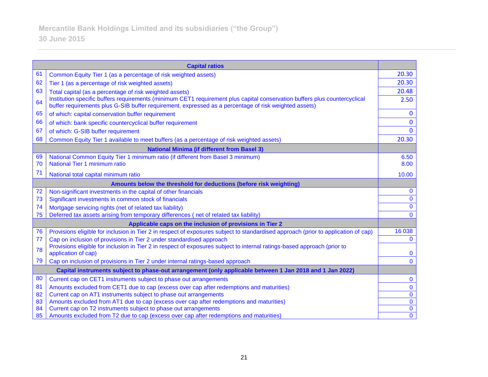| <b>Capital ratios</b>                                                                                    |                                                                                                                                                                                                                                     |                |  |
|----------------------------------------------------------------------------------------------------------|-------------------------------------------------------------------------------------------------------------------------------------------------------------------------------------------------------------------------------------|----------------|--|
| 61                                                                                                       | Common Equity Tier 1 (as a percentage of risk weighted assets)                                                                                                                                                                      | 20.30          |  |
| 62                                                                                                       | Tier 1 (as a percentage of risk weighted assets)                                                                                                                                                                                    | 20.30          |  |
| 63                                                                                                       | Total capital (as a percentage of risk weighted assets)                                                                                                                                                                             | 20.48          |  |
| 64                                                                                                       | Institution specific buffers requirements (minimum CET1 requirement plus capital conservation buffers plus countercyclical<br>buffer requirements plus G-SIB buffer requirement, expressed as a percentage of risk weighted assets) | 2.50           |  |
| 65                                                                                                       | of which: capital conservation buffer requirement                                                                                                                                                                                   | $\bf{0}$       |  |
| 66                                                                                                       | of which: bank specific countercyclical buffer requirement                                                                                                                                                                          | $\bf{0}$       |  |
| 67                                                                                                       | of which: G-SIB buffer requirement                                                                                                                                                                                                  | $\mathbf{0}$   |  |
| 68                                                                                                       | Common Equity Tier 1 available to meet buffers (as a percentage of risk weighted assets)                                                                                                                                            | 20.30          |  |
|                                                                                                          | <b>National Minima (if different from Basel 3)</b>                                                                                                                                                                                  |                |  |
| 69                                                                                                       | National Common Equity Tier 1 minimum ratio (if different from Basel 3 minimum)                                                                                                                                                     | 6.50           |  |
| 70                                                                                                       | National Tier 1 minimum ratio                                                                                                                                                                                                       | 8.00           |  |
| 71                                                                                                       | National total capital minimum ratio                                                                                                                                                                                                | 10.00          |  |
| Amounts below the threshold for deductions (before risk weighting)                                       |                                                                                                                                                                                                                                     |                |  |
| 72                                                                                                       | Non-significant investments in the capital of other financials                                                                                                                                                                      | $\bf{0}$       |  |
| 73                                                                                                       | Significant investments in common stock of financials                                                                                                                                                                               | $\bf{0}$       |  |
| 74                                                                                                       | Mortgage servicing rights (net of related tax liability)                                                                                                                                                                            | $\mathbf{0}$   |  |
| 75                                                                                                       | Deferred tax assets arising from temporary differences (net of related tax liability)                                                                                                                                               | $\mathbf{0}$   |  |
|                                                                                                          | Applicable caps on the inclusion of provisions in Tier 2                                                                                                                                                                            |                |  |
| 76                                                                                                       | Provisions eligible for inclusion in Tier 2 in respect of exposures subject to standardised approach (prior to application of cap)                                                                                                  | 16 038         |  |
| 77                                                                                                       | Cap on inclusion of provisions in Tier 2 under standardised approach                                                                                                                                                                | $\mathbf{0}$   |  |
| 78                                                                                                       | Provisions eligible for inclusion in Tier 2 in respect of exposures subject to internal ratings-based approach (prior to<br>application of cap)                                                                                     | $\bf{0}$       |  |
| 79                                                                                                       | Cap on inclusion of provisions in Tier 2 under internal ratings-based approach                                                                                                                                                      | $\mathbf{0}$   |  |
| Capital instruments subject to phase-out arrangement (only applicable between 1 Jan 2018 and 1 Jan 2022) |                                                                                                                                                                                                                                     |                |  |
| 80                                                                                                       | Current cap on CET1 instruments subject to phase out arrangements                                                                                                                                                                   | $\bf{0}$       |  |
| 81                                                                                                       | Amounts excluded from CET1 due to cap (excess over cap after redemptions and maturities)                                                                                                                                            | $\bf{0}$       |  |
| 82                                                                                                       | Current cap on AT1 instruments subject to phase out arrangements                                                                                                                                                                    | $\bf{0}$       |  |
| 83                                                                                                       | Amounts excluded from AT1 due to cap (excess over cap after redemptions and maturities)                                                                                                                                             | $\mathbf 0$    |  |
| 84                                                                                                       | Current cap on T2 instruments subject to phase out arrangements                                                                                                                                                                     | $\bf{0}$       |  |
| 85                                                                                                       | Amounts excluded from T2 due to cap (excess over cap after redemptions and maturities)                                                                                                                                              | $\overline{0}$ |  |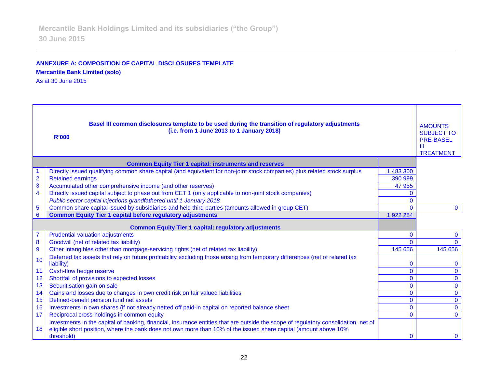# **ANNEXURE A: COMPOSITION OF CAPITAL DISCLOSURES TEMPLATE Mercantile Bank Limited (solo)**

As at 30 June 2015

| Basel III common disclosures template to be used during the transition of regulatory adjustments<br>(i.e. from 1 June 2013 to 1 January 2018)<br>R'000 |                                                                                                                                     |              | <b>AMOUNTS</b><br><b>SUBJECT TO</b><br><b>PRE-BASEL</b><br>$\mathbf{m}$<br><b>TREATMENT</b> |
|--------------------------------------------------------------------------------------------------------------------------------------------------------|-------------------------------------------------------------------------------------------------------------------------------------|--------------|---------------------------------------------------------------------------------------------|
|                                                                                                                                                        | <b>Common Equity Tier 1 capital: instruments and reserves</b>                                                                       |              |                                                                                             |
|                                                                                                                                                        | Directly issued qualifying common share capital (and equivalent for non-joint stock companies) plus related stock surplus           | 1 483 300    |                                                                                             |
| $\overline{2}$                                                                                                                                         | <b>Retained earnings</b>                                                                                                            | 390 999      |                                                                                             |
| 3                                                                                                                                                      | Accumulated other comprehensive income (and other reserves)                                                                         | 47 955       |                                                                                             |
| 4                                                                                                                                                      | Directly issued capital subject to phase out from CET 1 (only applicable to non-joint stock companies)                              | $\Omega$     |                                                                                             |
|                                                                                                                                                        | Public sector capital injections grandfathered until 1 January 2018                                                                 | $\Omega$     |                                                                                             |
| 5                                                                                                                                                      | Common share capital issued by subsidiaries and held third parties (amounts allowed in group CET)                                   | $\Omega$     | $\mathbf{0}$                                                                                |
| 6                                                                                                                                                      | <b>Common Equity Tier 1 capital before regulatory adjustments</b>                                                                   | 1 922 254    |                                                                                             |
|                                                                                                                                                        | <b>Common Equity Tier 1 capital: regulatory adjustments</b>                                                                         |              |                                                                                             |
|                                                                                                                                                        | <b>Prudential valuation adjustments</b>                                                                                             | $\mathbf{0}$ | $\mathbf{0}$                                                                                |
| 8                                                                                                                                                      | Goodwill (net of related tax liability)                                                                                             | $\Omega$     |                                                                                             |
| 9                                                                                                                                                      | Other intangibles other than mortgage-servicing rights (net of related tax liability)                                               | 145 656      | 145 656                                                                                     |
| 10                                                                                                                                                     | Deferred tax assets that rely on future profitability excluding those arising from temporary differences (net of related tax        |              |                                                                                             |
|                                                                                                                                                        | liability)                                                                                                                          | $\mathbf{0}$ |                                                                                             |
| 11                                                                                                                                                     | Cash-flow hedge reserve                                                                                                             | $\mathbf{0}$ | $\mathbf{0}$                                                                                |
| 12                                                                                                                                                     | Shortfall of provisions to expected losses                                                                                          | $\mathbf{0}$ | $\mathbf{O}$                                                                                |
| 13                                                                                                                                                     | Securitisation gain on sale                                                                                                         | $\mathbf{0}$ | $\mathbf 0$                                                                                 |
| 14                                                                                                                                                     | Gains and losses due to changes in own credit risk on fair valued liabilities                                                       | $\mathbf{0}$ | $\mathbf{O}$                                                                                |
| 15                                                                                                                                                     | Defined-benefit pension fund net assets                                                                                             | $\Omega$     | $\mathbf{O}$                                                                                |
| 16                                                                                                                                                     | Investments in own shares (if not already netted off paid-in capital on reported balance sheet                                      | $\mathbf{0}$ | $\mathbf 0$                                                                                 |
| 17                                                                                                                                                     | Reciprocal cross-holdings in common equity                                                                                          | $\Omega$     | $\Omega$                                                                                    |
|                                                                                                                                                        | Investments in the capital of banking, financial, insurance entities that are outside the scope of regulatory consolidation, net of |              |                                                                                             |
| 18                                                                                                                                                     | eligible short position, where the bank does not own more than 10% of the issued share capital (amount above 10%<br>threshold)      | $\Omega$     | $\Omega$                                                                                    |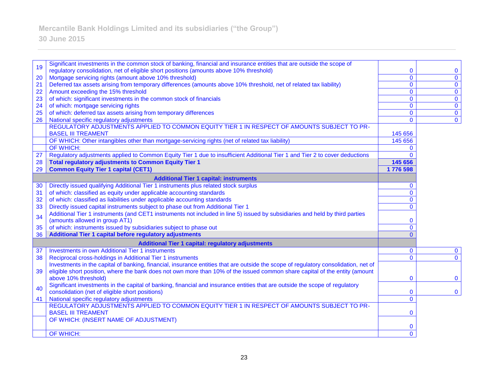#### 19 Significant investments in the common stock of banking, financial and insurance entities that are outside the scope of regulatory consolidation, net of eligible short positions (amounts above 10% threshold) 0 0 20 Mortgage servicing rights (amount above 10% threshold) 0 0 21 Deferred tax assets arising from temporary differences (amounts above 10% threshold, net of related tax liability) 0 0 22 Amount exceeding the 15% threshold 0 0 23 of which: significant investments in the common stock of financials 0 0 24 of which: mortgage servicing rights 0 0 25 of which: deferred tax assets arising from temporary differences 0 0 26 National specific regulatory adjustments REGULATORY ADJUSTMENTS APPLIED TO COMMON EQUITY TIER 1 IN RESPECT OF AMOUNTS SUBJECT TO PR-BASEL III TREAMENT 145 656 OF WHICH: Other intangibles other than mortgage-servicing rights (net of related tax liability) 145 656 OF WHICH: 0 27 Regulatory adjustments applied to Common Equity Tier 1 due to insufficient Additional Tier 1 and Tier 2 to cover deductions 0 28 **Total regulatory adjustments to Common Equity Tier 1 145 656**  29 **Common Equity Tier 1 capital (CET1) 1 776 598 Additional Tier 1 capital: instruments** 30 Directly issued qualifying Additional Tier 1 instruments plus related stock surplus 0 31 of which: classified as equity under applicable accounting standards 0 32 of which: classified as liabilities under applicable accounting standards 0 33 Directly issued capital instruments subject to phase out from Additional Tier 1 0 Additional Tier 1 instruments (and CET1 instruments not included in line 5) issued by subsidiaries and held by third parties (amounts allowed in group AT1) 0 35 of which: instruments issued by subsidiaries subject to phase out 0 36 **Additional Tier 1 capital before regulatory adjustments** 0 **Additional Tier 1 capital: regulatory adjustments** 37 Investments in own Additional Tier 1 instruments 0 0 38 Reciprocal cross-holdings in Additional Tier 1 instruments 0 0 39 Investments in the capital of banking, financial, insurance entities that are outside the scope of regulatory consolidation, net of eligible short position, where the bank does not own more than 10% of the issued common share capital of the entity (amount above 10% threshold) and the state of the state of the state of the state of the state of the state of the state of the state of the state of the state of the state of the state of the state of the state of the state of th 40 Significant investments in the capital of banking, financial and insurance entities that are outside the scope of regulatory consolidation (net of eligible short positions) 0 0 41 National specific regulatory adjustments 0 REGULATORY ADJUSTMENTS APPLIED TO COMMON EQUITY TIER 1 IN RESPECT OF AMOUNTS SUBJECT TO PR-BASEL III TREAMENT 0 OF WHICH: (INSERT NAME OF ADJUSTMENT) 0 OF WHICH: 0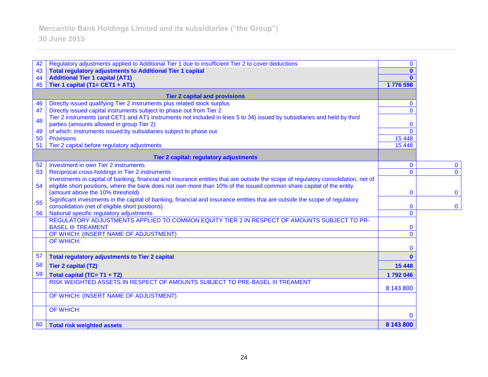# 42 Regulatory adjustments applied to Additional Tier 1 due to insufficient Tier 2 to cover deductions **0** 0 43 **Total regulatory adjustments to Additional Tier 1 capital 0**  44 **Additional Tier 1 capital (AT1) 0**  45 **Tier 1 capital (T1= CET1 + AT1) 1 776 598 Tier 2 capital and provisions** 46 Directly issued qualifying Tier 2 instruments plus related stock surplus 0 47 Directly issued capital instruments subject to phase out from Tier 2 0 Tier 2 instruments (and CET1 and AT1 instruments not included in lines 5 to 34) issued by subsidiaries and held by third parties (amounts allowed in group Tier 2) 0 49 of which: instruments issued by subsidiaries subject to phase out 0 50 Provisions 15 448 51 Tier 2 capital before regulatory adjustments 15 448 **Tier 2 capital: regulatory adjustments** 52 Investment in own Tier 2 instruments 0 0 53 Reciprocal cross-holdings in Tier 2 instruments 0 0 54 Investments in capital of banking, financial and insurance entities that are outside the scope of regulatory consolidation, net of eligible short positions, where the bank does not own more than 10% of the issued common share capital of the entity (amount above the 10% threshold)  $\begin{array}{ccc} 0 & 0 \\ 0 & 0 \end{array}$ 55 Significant investments in the capital of banking, financial and insurance entities that are outside the scope of regulatory consolidation (net of eligible short positions) 0 0 56 National specific regulatory adjustments 0 REGULATORY ADJUSTMENTS APPLIED TO COMMON EQUITY TIER 2 IN RESPECT OF AMOUNTS SUBJECT TO PR-BASEL III TREAMENT 0 OF WHICH: (INSERT NAME OF ADJUSTMENT) 0 OF WHICH: 0 57 **Total regulatory adjustments to Tier 2 capital 0**  58 **Tier 2 capital (T2) 15 448**  59 **Total capital (TC= T1 + T2) 1 792 046**  RISK WEIGHTED ASSETS IN RESPECT OF AMOUNTS SUBJECT TO PRE-BASEL III TREAMENT 8 143 800 OF WHICH: (INSERT NAME OF ADJUSTMENT) OF WHICH: 0 60 **Total risk weighted assets 8 143 800**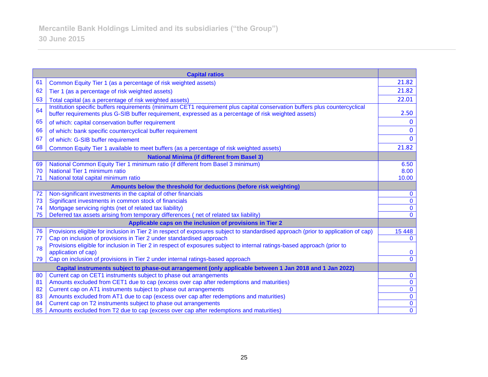| <b>Capital ratios</b>                                                                                    |                                                                                                                                                                                                                                     |                |  |
|----------------------------------------------------------------------------------------------------------|-------------------------------------------------------------------------------------------------------------------------------------------------------------------------------------------------------------------------------------|----------------|--|
| 61                                                                                                       | Common Equity Tier 1 (as a percentage of risk weighted assets)                                                                                                                                                                      | 21.82          |  |
| 62                                                                                                       | Tier 1 (as a percentage of risk weighted assets)                                                                                                                                                                                    | 21.82          |  |
| 63                                                                                                       | Total capital (as a percentage of risk weighted assets)                                                                                                                                                                             | 22.01          |  |
| 64                                                                                                       | Institution specific buffers requirements (minimum CET1 requirement plus capital conservation buffers plus countercyclical<br>buffer requirements plus G-SIB buffer requirement, expressed as a percentage of risk weighted assets) | 2.50           |  |
| 65                                                                                                       | of which: capital conservation buffer requirement                                                                                                                                                                                   | $\mathbf{0}$   |  |
| 66                                                                                                       | of which: bank specific countercyclical buffer requirement                                                                                                                                                                          | $\mathbf{0}$   |  |
| 67                                                                                                       | of which: G-SIB buffer requirement                                                                                                                                                                                                  | $\Omega$       |  |
| 68                                                                                                       | Common Equity Tier 1 available to meet buffers (as a percentage of risk weighted assets)                                                                                                                                            | 21.82          |  |
|                                                                                                          | <b>National Minima (if different from Basel 3)</b>                                                                                                                                                                                  |                |  |
| 69                                                                                                       | National Common Equity Tier 1 minimum ratio (if different from Basel 3 minimum)                                                                                                                                                     | 6.50           |  |
| 70                                                                                                       | National Tier 1 minimum ratio                                                                                                                                                                                                       | 8.00           |  |
| 71                                                                                                       | National total capital minimum ratio                                                                                                                                                                                                | 10.00          |  |
| Amounts below the threshold for deductions (before risk weighting)                                       |                                                                                                                                                                                                                                     |                |  |
| 72                                                                                                       | Non-significant investments in the capital of other financials                                                                                                                                                                      | $\bf{0}$       |  |
| 73                                                                                                       | Significant investments in common stock of financials                                                                                                                                                                               | $\mathbf 0$    |  |
| 74                                                                                                       | Mortgage servicing rights (net of related tax liability)                                                                                                                                                                            | $\mathbf 0$    |  |
| 75                                                                                                       | Deferred tax assets arising from temporary differences (net of related tax liability)                                                                                                                                               | $\Omega$       |  |
| Applicable caps on the inclusion of provisions in Tier 2                                                 |                                                                                                                                                                                                                                     |                |  |
| 76                                                                                                       | Provisions eligible for inclusion in Tier 2 in respect of exposures subject to standardised approach (prior to application of cap)                                                                                                  | 15 4 48        |  |
| 77                                                                                                       | Cap on inclusion of provisions in Tier 2 under standardised approach                                                                                                                                                                | $\mathbf{0}$   |  |
| 78                                                                                                       | Provisions eligible for inclusion in Tier 2 in respect of exposures subject to internal ratings-based approach (prior to                                                                                                            |                |  |
|                                                                                                          | application of cap)                                                                                                                                                                                                                 | $\bf{0}$       |  |
| 79                                                                                                       | Cap on inclusion of provisions in Tier 2 under internal ratings-based approach                                                                                                                                                      | $\mathbf{0}$   |  |
| Capital instruments subject to phase-out arrangement (only applicable between 1 Jan 2018 and 1 Jan 2022) |                                                                                                                                                                                                                                     |                |  |
| 80                                                                                                       | Current cap on CET1 instruments subject to phase out arrangements                                                                                                                                                                   | $\bf{0}$       |  |
| 81                                                                                                       | Amounts excluded from CET1 due to cap (excess over cap after redemptions and maturities)                                                                                                                                            | $\mathbf 0$    |  |
| 82                                                                                                       | Current cap on AT1 instruments subject to phase out arrangements                                                                                                                                                                    | $\overline{0}$ |  |
| 83                                                                                                       | Amounts excluded from AT1 due to cap (excess over cap after redemptions and maturities)                                                                                                                                             | $\mathbf 0$    |  |
| 84                                                                                                       | Current cap on T2 instruments subject to phase out arrangements                                                                                                                                                                     | $\overline{0}$ |  |
| 85                                                                                                       | Amounts excluded from T2 due to cap (excess over cap after redemptions and maturities)                                                                                                                                              | $\mathbf{0}$   |  |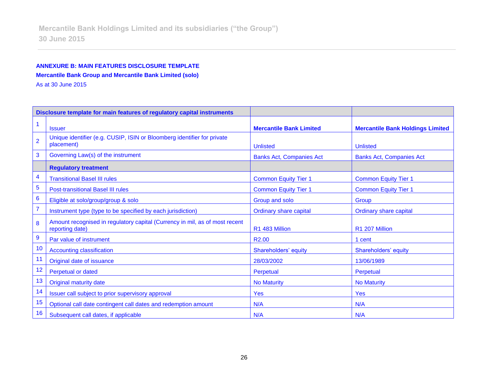# **ANNEXURE B: MAIN FEATURES DISCLOSURE TEMPLATE Mercantile Bank Group and Mercantile Bank Limited (solo)**

As at 30 June 2015

|                  | Disclosure template for main features of regulatory capital instruments                        |                                 |                                         |
|------------------|------------------------------------------------------------------------------------------------|---------------------------------|-----------------------------------------|
|                  | <b>Issuer</b>                                                                                  | <b>Mercantile Bank Limited</b>  | <b>Mercantile Bank Holdings Limited</b> |
| $\overline{2}$   | Unique identifier (e.g. CUSIP, ISIN or Bloomberg identifier for private<br>placement)          | <b>Unlisted</b>                 | <b>Unlisted</b>                         |
| 3                | Governing Law(s) of the instrument                                                             | <b>Banks Act, Companies Act</b> | <b>Banks Act, Companies Act</b>         |
|                  | <b>Regulatory treatment</b>                                                                    |                                 |                                         |
| 4                | <b>Transitional Basel III rules</b>                                                            | <b>Common Equity Tier 1</b>     | <b>Common Equity Tier 1</b>             |
| 5                | <b>Post-transitional Basel III rules</b>                                                       | <b>Common Equity Tier 1</b>     | <b>Common Equity Tier 1</b>             |
| $6\phantom{1}6$  | Eligible at solo/group/group & solo                                                            | Group and solo                  | Group                                   |
| $\overline{7}$   | Instrument type (type to be specified by each jurisdiction)                                    | <b>Ordinary share capital</b>   | <b>Ordinary share capital</b>           |
| 8                | Amount recognised in regulatory capital (Currency in mil, as of most recent<br>reporting date) | R1 483 Million                  | R1 207 Million                          |
| $\boldsymbol{9}$ | Par value of instrument                                                                        | R <sub>2.00</sub>               | 1 cent                                  |
| 10               | <b>Accounting classification</b>                                                               | Shareholders' equity            | Shareholders' equity                    |
| 11               | Original date of issuance                                                                      | 28/03/2002                      | 13/06/1989                              |
| 12               | <b>Perpetual or dated</b>                                                                      | Perpetual                       | Perpetual                               |
| 13               | <b>Original maturity date</b>                                                                  | <b>No Maturity</b>              | <b>No Maturity</b>                      |
| 14               | Issuer call subject to prior supervisory approval                                              | Yes                             | <b>Yes</b>                              |
| 15               | Optional call date contingent call dates and redemption amount                                 | N/A                             | N/A                                     |
| 16               | Subsequent call dates, if applicable                                                           | N/A                             | N/A                                     |